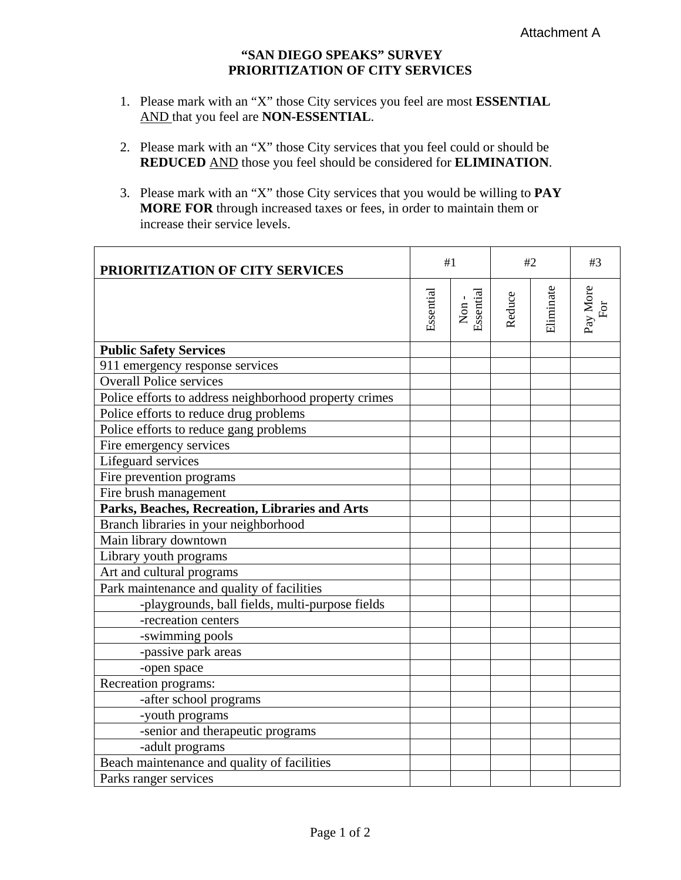## **"SAN DIEGO SPEAKS" SURVEY PRIORITIZATION OF CITY SERVICES**

- 1. Please mark with an "X" those City services you feel are most **ESSENTIAL** AND that you feel are **NON-ESSENTIAL**.
- 2. Please mark with an "X" those City services that you feel could or should be **REDUCED** AND those you feel should be considered for **ELIMINATION**.
- 3. Please mark with an "X" those City services that you would be willing to **PAY MORE FOR** through increased taxes or fees, in order to maintain them or increase their service levels.

| PRIORITIZATION OF CITY SERVICES                        | #1        |                   | #2     |           | #3              |
|--------------------------------------------------------|-----------|-------------------|--------|-----------|-----------------|
|                                                        | Essential | Non-<br>Essential | Reduce | Eliminate | Pay More<br>For |
| <b>Public Safety Services</b>                          |           |                   |        |           |                 |
| 911 emergency response services                        |           |                   |        |           |                 |
| <b>Overall Police services</b>                         |           |                   |        |           |                 |
| Police efforts to address neighborhood property crimes |           |                   |        |           |                 |
| Police efforts to reduce drug problems                 |           |                   |        |           |                 |
| Police efforts to reduce gang problems                 |           |                   |        |           |                 |
| Fire emergency services                                |           |                   |        |           |                 |
| Lifeguard services                                     |           |                   |        |           |                 |
| Fire prevention programs                               |           |                   |        |           |                 |
| Fire brush management                                  |           |                   |        |           |                 |
| Parks, Beaches, Recreation, Libraries and Arts         |           |                   |        |           |                 |
| Branch libraries in your neighborhood                  |           |                   |        |           |                 |
| Main library downtown                                  |           |                   |        |           |                 |
| Library youth programs                                 |           |                   |        |           |                 |
| Art and cultural programs                              |           |                   |        |           |                 |
| Park maintenance and quality of facilities             |           |                   |        |           |                 |
| -playgrounds, ball fields, multi-purpose fields        |           |                   |        |           |                 |
| -recreation centers                                    |           |                   |        |           |                 |
| -swimming pools                                        |           |                   |        |           |                 |
| -passive park areas                                    |           |                   |        |           |                 |
| -open space                                            |           |                   |        |           |                 |
| Recreation programs:                                   |           |                   |        |           |                 |
| -after school programs                                 |           |                   |        |           |                 |
| -youth programs                                        |           |                   |        |           |                 |
| -senior and therapeutic programs                       |           |                   |        |           |                 |
| -adult programs                                        |           |                   |        |           |                 |
| Beach maintenance and quality of facilities            |           |                   |        |           |                 |
| Parks ranger services                                  |           |                   |        |           |                 |